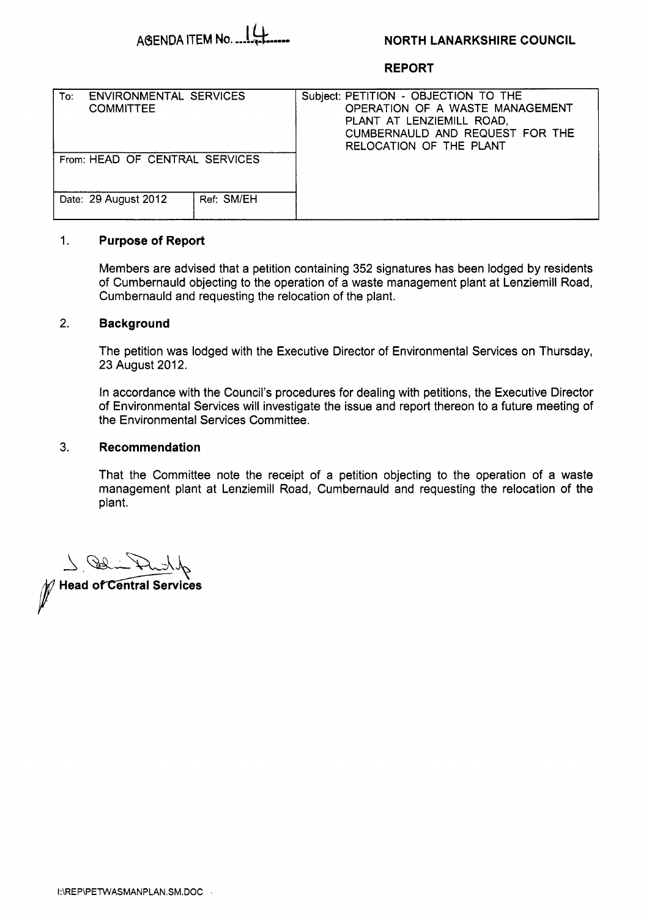

### **NORTH LANARKSHIRE COUNCIL**

### **REPORT**

| <b>ENVIRONMENTAL SERVICES</b><br>To:<br><b>COMMITTEE</b> | Subject: PETITION - OBJECTION TO THE<br>OPERATION OF A WASTE MANAGEMENT<br>PLANT AT LENZIEMILL ROAD,<br>CUMBERNAULD AND REQUEST FOR THE<br>RELOCATION OF THE PLANT |
|----------------------------------------------------------|--------------------------------------------------------------------------------------------------------------------------------------------------------------------|
| From: HEAD OF CENTRAL SERVICES                           |                                                                                                                                                                    |
| Date: 29 August 2012<br>Ref: SM/EH                       |                                                                                                                                                                    |

#### $1.$ **Purpose of Report**

Members are advised that a petition containing 352 signatures has been lodged by residents of Cumbernauld objecting to the operation of a waste management plant at Lenziemill Road, Cumbernauld and requesting the relocation of the plant.

### 2. **Background**

The petition was lodged with the Executive Director of Environmental Services on Thursday, 23 August 2012.

In accordance with the Council's procedures for dealing with petitions, the Executive Director of Environmental Services will investigate the issue and report thereon to a future meeting of the Environmental Services Committee.

## 3. **Recommendation**

That the Committee note the receipt of a petition objecting to the operation of a waste management plant at Lenziemill Road, Cumbernauld and requesting the relocation of the plant.

7.00

Head of Central Services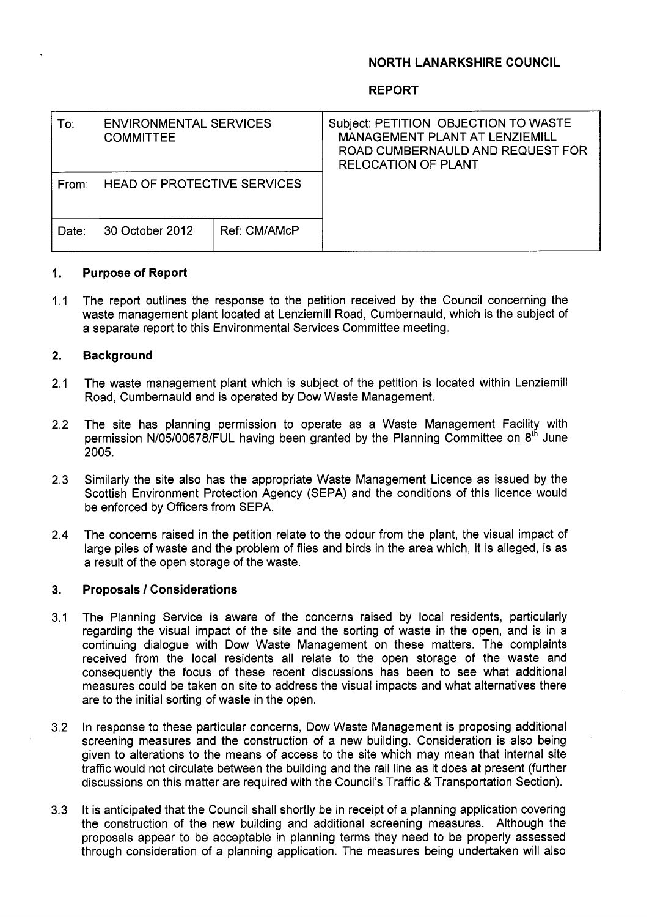# **NORTH LANARKSHIRE COUNCIL**

## **REPORT**

| To:   | <b>ENVIRONMENTAL SERVICES</b><br><b>COMMITTEE</b> |              | Subject: PETITION OBJECTION TO WASTE<br>MANAGEMENT PLANT AT LENZIEMILL<br>ROAD CUMBERNAULD AND REQUEST FOR<br><b>RELOCATION OF PLANT</b> |
|-------|---------------------------------------------------|--------------|------------------------------------------------------------------------------------------------------------------------------------------|
| From: | HEAD OF PROTECTIVE SERVICES                       |              |                                                                                                                                          |
| Date: | 30 October 2012                                   | Ref: CM/AMcP |                                                                                                                                          |

#### **1. Purpose of Report**

1.1 The report outlines the response to the petition received by the Council concerning the waste management plant located at Lenziemill Road, Cumbernauld, which is the subject of a separate report to this Environmental Services Committee meeting.

#### **2. Background**

- 2.1 The waste management plant which is subject of the petition is located within Lenziemill Road, Cumbernauld and is operated by Dow Waste Management.
- 2.2 The site has planning permission to operate as a Waste Management Facility with permission N/05/00678/FUL having been granted by the Planning Committee on 8<sup>th</sup> June 2005.
- 2.3 Similarly the site also has the appropriate Waste Management Licence as issued by the Scottish Environment Protection Agency (SEPA) and the conditions of this licence would be enforced by Officers from SEPA.
- 2.4 The concerns raised in the petition relate to the odour from the plant, the visual impact of large piles of waste and the problem of flies and birds in the area which, it is alleged, is as a result of the open storage of the waste.

#### **3. Proposals** / **Considerations**

- 3.1 The Planning Service is aware of the concerns raised by local residents, particularly regarding the visual impact of the site and the sorting of waste in the open, and is in a continuing dialogue with Dow Waste Management on these matters. The complaints received from the local residents all relate to the open storage of the waste and consequently the focus of these recent discussions has been to see what additional measures could be taken on site to address the visual impacts and what alternatives there are to the initial sorting of waste in the open.
- 3.2 In response to these particular concerns, Dow Waste Management is proposing additional screening measures and the construction of a new building. Consideration is also being given to alterations to the means of access to the site which may mean that internal site traffic would not circulate between the building and the rail line as it does at present (further discussions on this matter are required with the Council's Traffic & Transportation Section).
- 3.3 It is anticipated that the Council shall shortly be in receipt of a planning application covering the construction of the new building and additional screening measures. Although the proposals appear to be acceptable in planning terms they need to be properly assessed through consideration of a planning application. The measures being undertaken will also